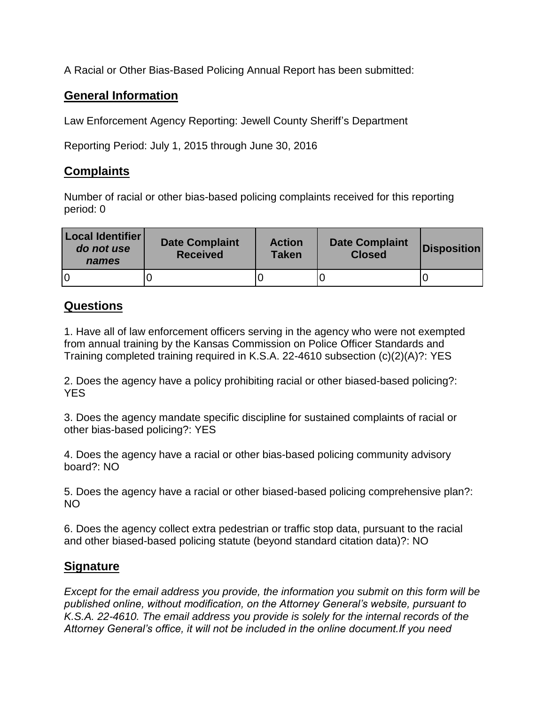A Racial or Other Bias-Based Policing Annual Report has been submitted:

## **General Information**

Law Enforcement Agency Reporting: Jewell County Sheriff's Department

Reporting Period: July 1, 2015 through June 30, 2016

## **Complaints**

Number of racial or other bias-based policing complaints received for this reporting period: 0

| Local Identifier<br>do not use<br>names | <b>Date Complaint</b><br><b>Received</b> | <b>Action</b><br><b>Taken</b> | <b>Date Complaint</b><br><b>Closed</b> | <b>Disposition</b> |
|-----------------------------------------|------------------------------------------|-------------------------------|----------------------------------------|--------------------|
|                                         |                                          |                               |                                        |                    |

## **Questions**

1. Have all of law enforcement officers serving in the agency who were not exempted from annual training by the Kansas Commission on Police Officer Standards and Training completed training required in K.S.A. 22-4610 subsection (c)(2)(A)?: YES

2. Does the agency have a policy prohibiting racial or other biased-based policing?: YES

3. Does the agency mandate specific discipline for sustained complaints of racial or other bias-based policing?: YES

4. Does the agency have a racial or other bias-based policing community advisory board?: NO

5. Does the agency have a racial or other biased-based policing comprehensive plan?: NO

6. Does the agency collect extra pedestrian or traffic stop data, pursuant to the racial and other biased-based policing statute (beyond standard citation data)?: NO

## **Signature**

*Except for the email address you provide, the information you submit on this form will be published online, without modification, on the Attorney General's website, pursuant to K.S.A. 22-4610. The email address you provide is solely for the internal records of the Attorney General's office, it will not be included in the online document.If you need*